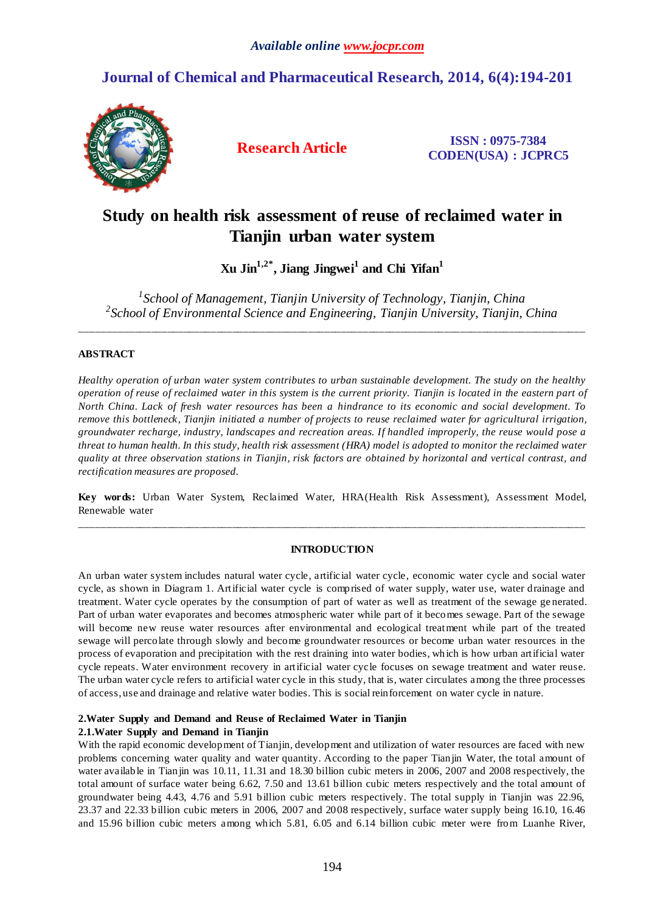# **Journal of Chemical and Pharmaceutical Research, 2014, 6(4):194-201**



**Research Article ISSN : 0975-7384 CODEN(USA) : JCPRC5**

# **Study on health risk assessment of reuse of reclaimed water in Tianjin urban water system**

**Xu Jin1,2\*, Jiang Jingwei<sup>1</sup> and Chi Yifan<sup>1</sup>**

*1 School of Management, Tianjin University of Technology, Tianjin, China 2 School of Environmental Science and Engineering, Tianjin University, Tianjin, China*

\_\_\_\_\_\_\_\_\_\_\_\_\_\_\_\_\_\_\_\_\_\_\_\_\_\_\_\_\_\_\_\_\_\_\_\_\_\_\_\_\_\_\_\_\_\_\_\_\_\_\_\_\_\_\_\_\_\_\_\_\_\_\_\_\_\_\_\_\_\_\_\_\_\_\_\_\_\_\_\_\_\_\_\_\_\_\_\_\_\_\_\_\_

## **ABSTRACT**

*Healthy operation of urban water system contributes to urban sustainable development. The study on the healthy operation of reuse of reclaimed water in this system is the current priority. Tianjin is located in the eastern part of North China. Lack of fresh water resources has been a hindrance to its economic and social development. To remove this bottleneck, Tianjin initiated a number of projects to reuse reclaimed water for agricultural irrigation, groundwater recharge, industry, landscapes and recreation areas. If handled improperly, the reuse would pose a threat to human health. In this study, health risk assessment (HRA) model is adopted to monitor the reclaimed water quality at three observation stations in Tianjin, risk factors are obtained by horizontal and vertical contrast, and rectification measures are proposed.*

**Key words:** Urban Water System, Reclaimed Water, HRA(Health Risk Assessment), Assessment Model, Renewable water \_\_\_\_\_\_\_\_\_\_\_\_\_\_\_\_\_\_\_\_\_\_\_\_\_\_\_\_\_\_\_\_\_\_\_\_\_\_\_\_\_\_\_\_\_\_\_\_\_\_\_\_\_\_\_\_\_\_\_\_\_\_\_\_\_\_\_\_\_\_\_\_\_\_\_\_\_\_\_\_\_\_\_\_\_\_\_\_\_\_\_\_\_

## **INTRODUCTION**

An urban water system includes natural water cycle, artificial water cycle, economic water cycle and social water cycle, as shown in Diagram 1. Artificial water cycle is comprised of water supply, water use, water drainage and treatment. Water cycle operates by the consumption of part of water as well as treatment of the sewage ge nerated. Part of urban water evaporates and becomes atmospheric water while part of it becomes sewage. Part of the sewage will become new reuse water resources after environmental and ecological treatment while part of the treated sewage will percolate through slowly and become groundwater resources or become urban water resources in the process of evaporation and precipitation with the rest draining into water bodies, which is how urban artificial water cycle repeats. Water environment recovery in artificial water cycle focuses on sewage treatment and water reuse. The urban water cycle refers to artificial water cycle in this study, that is, water circulates among the three processes of access, use and drainage and relative water bodies. This is social reinforcement on water cycle in nature.

## **2.Water Supply and Demand and Reuse of Reclaimed Water in Tianjin**

## **2.1.Water Supply and Demand in Tianjin**

With the rapid economic development of Tianjin, development and utilization of water resources are faced with new problems concerning water quality and water quantity. According to the paper Tianjin Water, the total amount of water available in Tianjin was 10.11, 11.31 and 18.30 billion cubic meters in 2006, 2007 and 2008 respectively, the total amount of surface water being 6.62, 7.50 and 13.61 billion cubic meters respectively and the total amount of groundwater being 4.43, 4.76 and 5.91 billion cubic meters respectively. The total supply in Tianjin was 22.96, 23.37 and 22.33 billion cubic meters in 2006, 2007 and 2008 respectively, surface water supply being 16.10, 16.46 and 15.96 billion cubic meters among which 5.81, 6.05 and 6.14 billion cubic meter were from Luanhe River,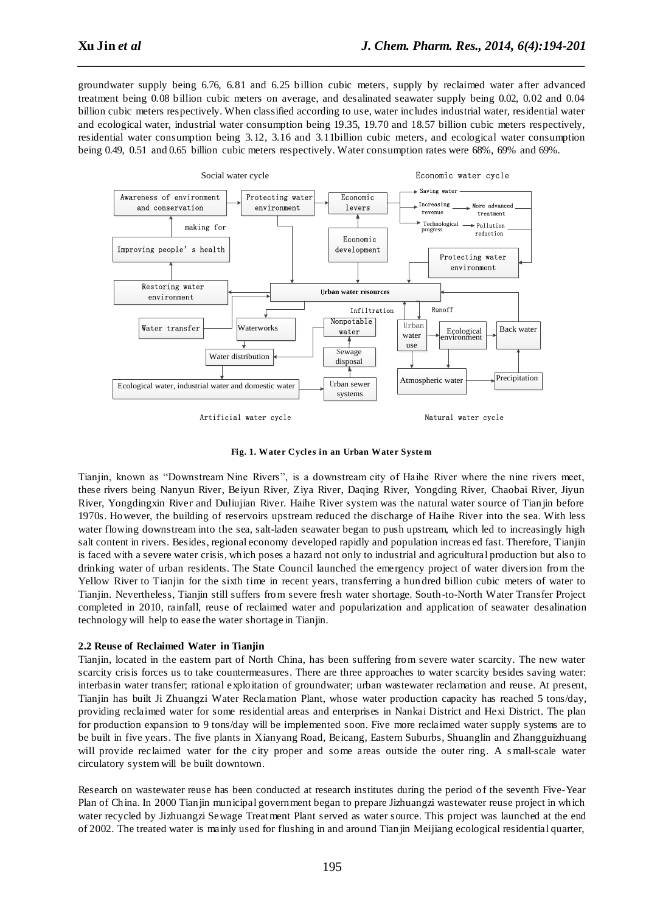groundwater supply being 6.76, 6.81 and 6.25 billion cubic meters, supply by reclaimed water after advanced treatment being 0.08 billion cubic meters on average, and desalinated seawater supply being 0.02, 0.02 and 0.04 billion cubic meters respectively. When classified according to use, water includes industrial water, residential water and ecological water, industrial water consumption being 19.35, 19.70 and 18.57 billion cubic meters respectively, residential water consumption being 3.12, 3.16 and 3.11billion cubic meters, and ecological water consumption being 0.49, 0.51 and 0.65 billion cubic meters respectively. Water consumption rates were 68%, 69% and 69%.

*\_\_\_\_\_\_\_\_\_\_\_\_\_\_\_\_\_\_\_\_\_\_\_\_\_\_\_\_\_\_\_\_\_\_\_\_\_\_\_\_\_\_\_\_\_\_\_\_\_\_\_\_\_\_\_\_\_\_\_\_\_\_\_\_\_\_\_\_\_\_\_\_\_\_\_\_\_\_*



**Fig. 1. Water Cycles in an Urban Water Syste m**

Tianjin, known as "Downstream Nine Rivers", is a downstream city of Haihe River where the nine rivers meet, these rivers being Nanyun River, Beiyun River, Ziya River, Daqing River, Yongding River, Chaobai River, Jiyun River, Yongdingxin River and Duliujian River. Haihe River system was the natural water source of Tianjin before 1970s. However, the building of reservoirs upstream reduced the discharge of Haihe River into the sea. With less water flowing downstream into the sea, salt-laden seawater began to push upstream, which led to increasingly high salt content in rivers. Besides, regional economy developed rapidly and population increas ed fast. Therefore, Tianjin is faced with a severe water crisis, which poses a hazard not only to industrial and agricultural production but also to drinking water of urban residents. The State Council launched the emergency project of water diversion from the Yellow River to Tianjin for the sixth time in recent years, transferring a hun dred billion cubic meters of water to Tianjin. Nevertheless, Tianjin still suffers from severe fresh water shortage. South-to-North Water Transfer Project completed in 2010, rainfall, reuse of reclaimed water and popularization and application of seawater desalination technology will help to ease the water shortage in Tianjin.

## **2.2 Reuse of Reclaimed Water in Tianjin**

Tianjin, located in the eastern part of North China, has been suffering from severe water scarcity. The new water scarcity crisis forces us to take countermeasures. There are three approaches to water scarcity besides saving water: interbasin water transfer; rational exploitation of groundwater; urban wastewater reclamation and reuse. At present, Tianjin has built Ji Zhuangzi Water Reclamation Plant, whose water production capacity has reached 5 tons/day, providing reclaimed water for some residential areas and enterprises in Nankai District and Hexi District. The plan for production expansion to 9 tons/day will be implemented soon. Five more reclaimed water supply systems are to be built in five years. The five plants in Xianyang Road, Beicang, Eastern Suburbs, Shuanglin and Zhangguizhuang will provide reclaimed water for the city proper and some areas outside the outer ring. A small-scale water circulatory system will be built downtown.

Research on wastewater reuse has been conducted at research institutes during the period of the seventh Five-Year Plan of China. In 2000 Tianjin municipal government began to prepare Jizhuangzi wastewater reuse project in which water recycled by Jizhuangzi Sewage Treatment Plant served as water source. This project was launched at the end of 2002. The treated water is mainly used for flushing in and around Tianjin Meijiang ecological residential quarter,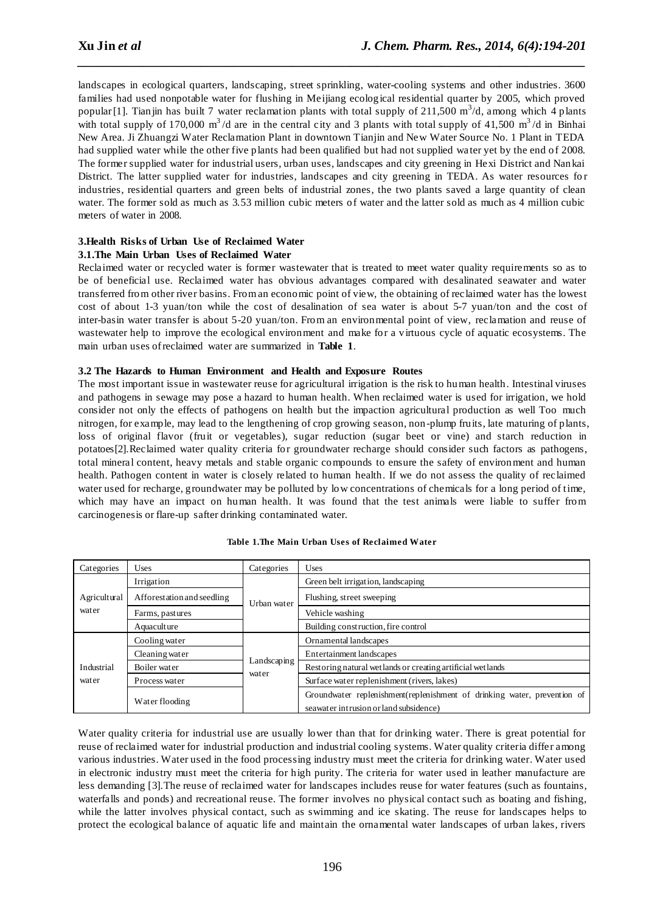landscapes in ecological quarters, landscaping, street sprinkling, water-cooling systems and other industries. 3600 families had used nonpotable water for flushing in Meijiang ecological residential quarter by 2005, which proved popular [1]. Tianjin has built 7 water reclamation plants with total supply of 211,500 m<sup>3</sup>/d, among which 4 plants with total supply of 170,000 m<sup>3</sup>/d are in the central city and 3 plants with total supply of 41,500 m<sup>3</sup>/d in Binhai New Area. Ji Zhuangzi Water Reclamation Plant in downtown Tianjin and New Water Source No. 1 Plant in TEDA had supplied water while the other five plants had been qualified but had not supplied wa ter yet by the end of 2008. The former supplied water for industrial users, urban uses, landscapes and city greening in Hexi District and Nankai District. The latter supplied water for industries, landscapes and city greening in TEDA. As water resources for industries, residential quarters and green belts of industrial zones, the two plants saved a large quantity of clean water. The former sold as much as 3.53 million cubic meters of water and the latter sold as much as 4 million cubic meters of water in 2008.

*\_\_\_\_\_\_\_\_\_\_\_\_\_\_\_\_\_\_\_\_\_\_\_\_\_\_\_\_\_\_\_\_\_\_\_\_\_\_\_\_\_\_\_\_\_\_\_\_\_\_\_\_\_\_\_\_\_\_\_\_\_\_\_\_\_\_\_\_\_\_\_\_\_\_\_\_\_\_*

## **3.Health Risks of Urban Use of Reclaimed Water**

## **3.1.The Main Urban Uses of Reclaimed Water**

Reclaimed water or recycled water is former wastewater that is treated to meet water quality requirements so as to be of beneficial use. Reclaimed water has obvious advantages compared with desalinated seawater and water transferred from other river basins. From an economic point of view, the obtaining of reclaimed water has the lowest cost of about 1-3 yuan/ton while the cost of desalination of sea water is about 5-7 yuan/ton and the cost of inter-basin water transfer is about 5-20 yuan/ton. From an environmental point of view, reclamation and reuse of wastewater help to improve the ecological environment and make for a virtuous cycle of aquatic ecosystems. The main urban uses of reclaimed water are summarized in **Table 1**.

## **3.2 The Hazards to Human Environment and Health and Exposure Routes**

The most important issue in wastewater reuse for agricultural irrigation is the risk to human health. Intestinal viruses and pathogens in sewage may pose a hazard to human health. When reclaimed water is used for irrigation, we hold consider not only the effects of pathogens on health but the impaction agricultural production as well Too much nitrogen, for example, may lead to the lengthening of crop growing season, non-plump fruits, late maturing of plants, loss of original flavor (fruit or vegetables), sugar reduction (sugar beet or vine) and starch reduction in potatoes[2].Reclaimed water quality criteria for groundwater recharge should consider such factors as pathogens, total mineral content, heavy metals and stable organic compounds to ensure the safety of environment and human health. Pathogen content in water is closely related to human health. If we do not assess the quality of reclaimed water used for recharge, groundwater may be polluted by low concentrations of chemicals for a long period of time, which may have an impact on human health. It was found that the test animals were liable to suffer from carcinogenesis or flare-up safter drinking contaminated water.

| Categories            | Uses                       | Categories           | Uses                                                                                                                |
|-----------------------|----------------------------|----------------------|---------------------------------------------------------------------------------------------------------------------|
| Agricultural<br>water | Irrigation                 | Urban water          | Green belt irrigation, landscaping                                                                                  |
|                       | Afforestation and seedling |                      | Flushing, street sweeping                                                                                           |
|                       | Farms, pastures            |                      | Vehicle washing                                                                                                     |
|                       | Aquaculture                |                      | Building construction, fire control                                                                                 |
| Industrial<br>water   | Cooling water              | Landscaping<br>water | Ornamental landscapes                                                                                               |
|                       | Cleaning water             |                      | Entertainment landscapes                                                                                            |
|                       | Boiler water               |                      | Restoring natural wetlands or creating artificial wetlands                                                          |
|                       | Process water              |                      | Surface water replenishment (rivers, lakes)                                                                         |
|                       | Water flooding             |                      | Groundwater replenishment (replenishment of drinking water, prevention of<br>seawater intrusion or land subsidence) |

#### **Table 1.The Main Urban Uses of Reclaimed Water**

Water quality criteria for industrial use are usually lower than that for drinking water. There is great potential for reuse of reclaimed water for industrial production and industrial cooling systems. Water quality criteria differ among various industries. Water used in the food processing industry must meet the criteria for drinking water. Water used in electronic industry must meet the criteria for high purity. The criteria for water used in leather manufacture are less demanding [3].The reuse of reclaimed water for landscapes includes reuse for water features (such as fountains, waterfalls and ponds) and recreational reuse. The former involves no physical contact such as boating and fishing, while the latter involves physical contact, such as swimming and ice skating. The reuse for landscapes helps to protect the ecological balance of aquatic life and maintain the ornamental water landscapes of urban lakes, rivers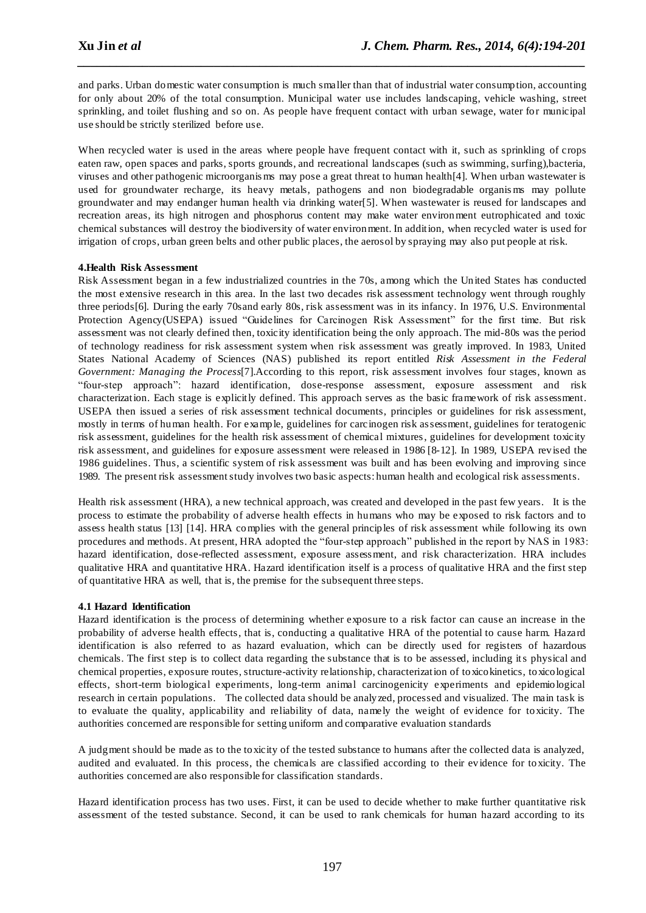and parks. Urban domestic water consumption is much smaller than that of industrial water consumption, accounting for only about 20% of the total consumption. Municipal water use includes landscaping, vehicle washing, street sprinkling, and toilet flushing and so on. As people have frequent contact with urban sewage, water for municipal use should be strictly sterilized before use.

*\_\_\_\_\_\_\_\_\_\_\_\_\_\_\_\_\_\_\_\_\_\_\_\_\_\_\_\_\_\_\_\_\_\_\_\_\_\_\_\_\_\_\_\_\_\_\_\_\_\_\_\_\_\_\_\_\_\_\_\_\_\_\_\_\_\_\_\_\_\_\_\_\_\_\_\_\_\_*

When recycled water is used in the areas where people have frequent contact with it, such as sprinkling of crops eaten raw, open spaces and parks, sports grounds, and recreational landscapes (such as swimming, surfing),bacteria, viruses and other pathogenic microorganis ms may pose a great threat to human health[4]. When urban wastewater is used for groundwater recharge, its heavy metals, pathogens and non biodegradable organis ms may pollute groundwater and may endanger human health via drinking water[5]. When wastewater is reused for landscapes and recreation areas, its high nitrogen and phosphorus content may make water environment eutrophicated and toxic chemical substances will destroy the biodiversity of water environment. In addition, when recycled water is used for irrigation of crops, urban green belts and other public places, the aerosol by spraying may also put people at risk.

## **4.Health Risk Assessment**

Risk Assessment began in a few industrialized countries in the 70s, among which the United States has conducted the most extensive research in this area. In the last two decades risk assessment technology went through roughly three periods[6]. During the early 70sand early 80s, risk assessment was in its infancy. In 1976, U.S. Environmental Protection Agency(USEPA) issued "Guidelines for Carcinogen Risk Assessment" for the first time. But risk assessment was not clearly defined then, toxicity identification being the only approach. The mid-80s was the period of technology readiness for risk assessment system when risk assessment was greatly improved. In 1983, United States National Academy of Sciences (NAS) published its report entitled *Risk Assessment in the Federal Government: Managing the Process*[7].According to this report, risk assessment involves four stages, known as "four-step approach": hazard identification, dose-response assessment, exposure assessment and risk characterization. Each stage is explicitly defined. This approach serves as the basic framework of risk assessment. USEPA then issued a series of risk assessment technical documents, principles or guidelines for risk assessment, mostly in terms of human health. For example, guidelines for carcinogen risk assessment, guidelines for teratogenic risk assessment, guidelines for the health risk assessment of chemical mixtures, guidelines for development toxicity risk assessment, and guidelines for exposure assessment were released in 1986 [8-12]. In 1989, USEPA revised the 1986 guidelines. Thus, a scientific system of risk assessment was built and has been evolving and improving since 1989. The present risk assessment study involves two basic aspects: human health and ecological risk assessments.

Health risk assessment (HRA), a new technical approach, was created and developed in the past few years. It is the process to estimate the probability of adverse health effects in humans who may be exposed to risk factors and to assess health status [13] [14]. HRA complies with the general principles of risk assessment while following its own procedures and methods. At present, HRA adopted the "four-step approach" published in the report by NAS in 1983: hazard identification, dose-reflected assessment, exposure assessment, and risk characterization. HRA includes qualitative HRA and quantitative HRA. Hazard identification itself is a process of qualitative HRA and the first step of quantitative HRA as well, that is, the premise for the subsequent three steps.

## **4.1 Hazard Identification**

Hazard identification is the process of determining whether exposure to a risk factor can cause an increase in the probability of adverse health effects, that is, conducting a qualitative HRA of the potential to cause harm. Hazard identification is also referred to as hazard evaluation, which can be directly used for registers of hazardous chemicals. The first step is to collect data regarding the substance that is to be assessed, including its physical and chemical properties, exposure routes, structure-activity relationship, characterization of toxicokinetics, toxicological effects, short-term biological experiments, long-term animal carcinogenicity experiments and epidemiological research in certain populations. The collected data should be analyzed, processed and visualized. The main task is to evaluate the quality, applicability and reliability of data, namely the weight of evidence for toxicity. The authorities concerned are responsible for setting uniform and comparative evaluation standards

A judgment should be made as to the toxicity of the tested substance to humans after the collected data is analyzed, audited and evaluated. In this process, the chemicals are classified according to their evidence for toxicity. The authorities concerned are also responsible for classification standards.

Hazard identification process has two uses. First, it can be used to decide whether to make further quantitative risk assessment of the tested substance. Second, it can be used to rank chemicals for human hazard according to its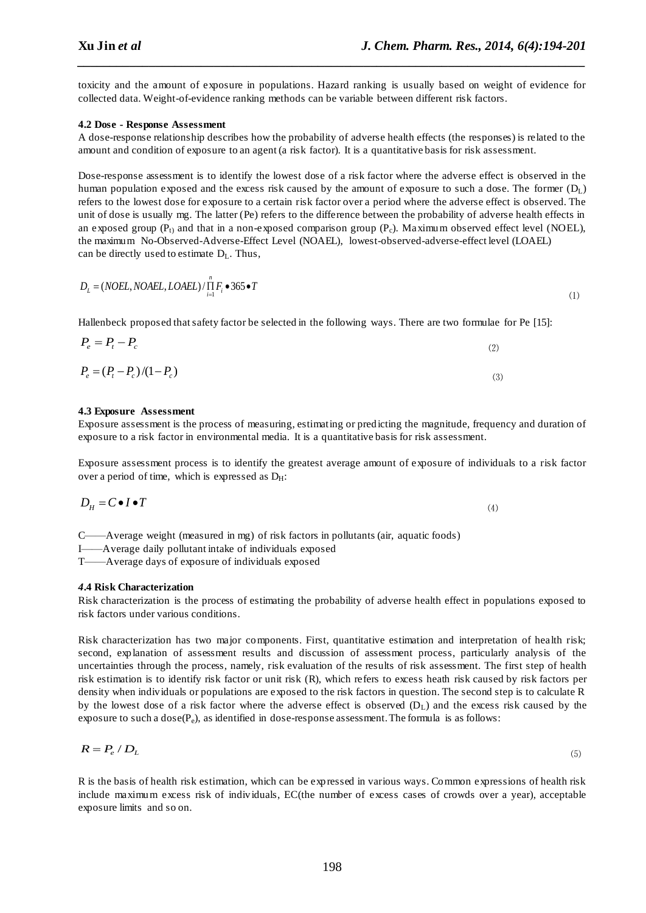toxicity and the amount of exposure in populations. Hazard ranking is usually based on weight of evidence for collected data. Weight-of-evidence ranking methods can be variable between different risk factors.

*\_\_\_\_\_\_\_\_\_\_\_\_\_\_\_\_\_\_\_\_\_\_\_\_\_\_\_\_\_\_\_\_\_\_\_\_\_\_\_\_\_\_\_\_\_\_\_\_\_\_\_\_\_\_\_\_\_\_\_\_\_\_\_\_\_\_\_\_\_\_\_\_\_\_\_\_\_\_*

## **4.2 Dose - Response Assessment**

A dose-response relationship describes how the probability of adverse health effects (the responses) is related to the amount and condition of exposure to an agent (a risk factor). It is a quantitative basis for risk assessment.

Dose-response assessment is to identify the lowest dose of a risk factor where the adverse effect is observed in the human population exposed and the excess risk caused by the amount of exposure to such a dose. The former  $(D_L)$ refers to the lowest dose for exposure to a certain risk factor over a period where the adverse effect is observed. The unit of dose is usually mg. The latter (Pe) refers to the difference between the probability of adverse health effects in an exposed group ( $P_t$ ) and that in a non-exposed comparison group ( $P_c$ ). Maximum observed effect level (NOEL), the maximum [No-Observed-Adverse-Effect Level \(NOAEL\),](http://www.epa.gov/risk/glossary.htm#n) [lowest-observed-adverse-effect level \(LOAEL\)](http://www.epa.gov/risk/glossary.htm#l) can be directly used to estimate  $D_L$ . Thus,

$$
D_L = (NOEL, NOAEL, LOAEL) / \prod_{i=1}^{n} F_i \bullet 365 \bullet T
$$
\n<sup>(1)</sup>

Hallenbeck proposed that safety factor be selected in the following ways. There are two formulae for Pe [15]:

$$
P_e = (P_t - P_c)/(1 - P_c)
$$
\n(2)  
\n
$$
P_e = (P_t - P_c)/(1 - P_c)
$$
\n(3)

#### **4.3 Exposure Assessment**

 $P_e = P_t - P_c$ 

Exposure assessment is the process of measuring, estimating or predicting the magnitude, frequency and duration of exposure to a risk factor in environmental media. It is a quantitative basis for risk assessment.

Exposure assessment process is to identify the greatest average amount of exposure of individuals to a risk factor over a period of time, which is expressed as  $D_H$ :

$$
D_H = C \bullet I \bullet T \tag{4}
$$

C——Average weight (measured in mg) of risk factors in pollutants (air, aquatic foods) I——Average daily pollutant intake of individuals exposed T——Average days of exposure of individuals exposed

*4***.4 Risk Characterization**

Risk characterization is the process of estimating the probability of adverse health effect in populations exposed to risk factors under various conditions.

Risk characterization has two major components. First, quantitative estimation and interpretation of health risk; second, explanation of assessment results and discussion of assessment process, particularly analysis of the uncertainties through the process, namely, risk evaluation of the results of risk assessment. The first step of health risk estimation is to identify risk factor or unit risk (R), which refers to excess heath risk caused by risk factors per density when individuals or populations are exposed to the risk factors in question. The second step is to calculate R by the lowest dose of a risk factor where the adverse effect is observed  $(D<sub>L</sub>)$  and the excess risk caused by the exposure to such a  $dose(P_e)$ , as identified in dose-response assessment. The formula is as follows:

$$
R = P_e / D_L \tag{5}
$$

R is the basis of health risk estimation, which can be expressed in various ways. Common expressions of health risk include maximum excess risk of individuals, EC(the number of excess cases of crowds over a year), acceptable exposure limits and so on.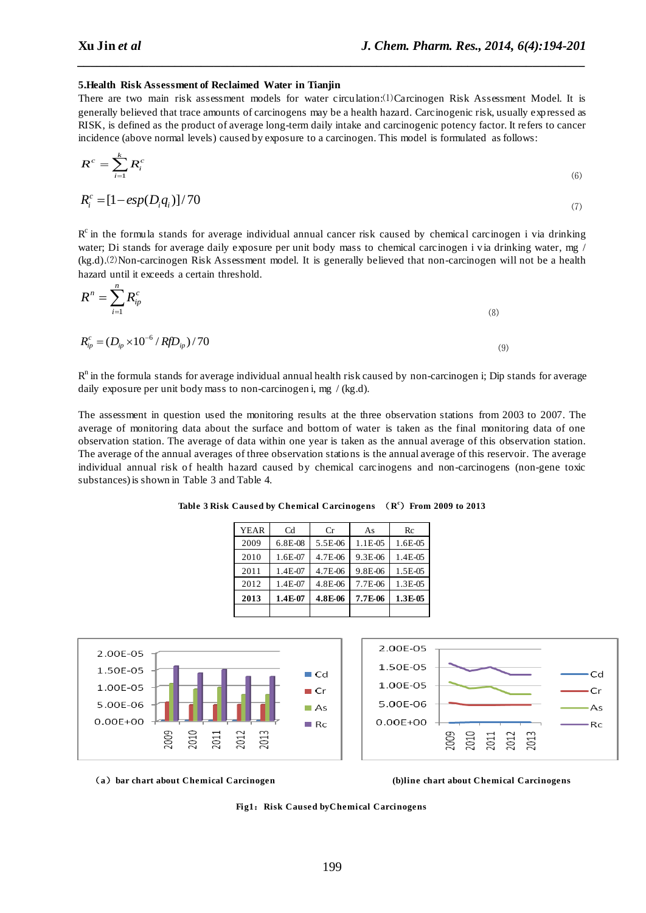#### **5.Health Risk Assessment of Reclaimed Water in Tianjin**

There are two main risk assessment models for water circulation:⑴Carcinogen Risk Assessment Model. It is generally believed that trace amounts of carcinogens may be a health hazard. Carcinogenic risk, usually expressed as RISK, is defined as the product of average long-term daily intake and carcinogenic potency factor. It refers to cancer incidence (above normal levels) caused by exposure to a carcinogen. This model is formulated as follows:

*\_\_\_\_\_\_\_\_\_\_\_\_\_\_\_\_\_\_\_\_\_\_\_\_\_\_\_\_\_\_\_\_\_\_\_\_\_\_\_\_\_\_\_\_\_\_\_\_\_\_\_\_\_\_\_\_\_\_\_\_\_\_\_\_\_\_\_\_\_\_\_\_\_\_\_\_\_\_*

$$
R^c = \sum_{i=1}^k R_i^c \tag{6}
$$

$$
R_i^c = [1 - \exp(D_i q_i)] / 70 \tag{7}
$$

 $R<sup>c</sup>$  in the formula stands for average individual annual cancer risk caused by chemical carcinogen i via drinking water; Di stands for average daily exposure per unit body mass to chemical carcinogen i via drinking water, mg / (kg.d).⑵Non-carcinogen Risk Assessment model. It is generally believed that non-carcinogen will not be a health hazard until it exceeds a certain threshold.

$$
R^n = \sum_{i=1}^n R_{ip}^c \tag{8}
$$

$$
R_{ip}^{c} = (D_{ip} \times 10^{-6} / Rf D_{ip}) / 70
$$
\n(9)

 $R<sup>n</sup>$  in the formula stands for average individual annual health risk caused by non-carcinogen i; Dip stands for average daily exposure per unit body mass to non-carcinogen i, mg / (kg.d).

The assessment in question used the monitoring results at the three observation stations from 2003 to 2007. The average of monitoring data about the surface and bottom of water is taken as the final monitoring data of one observation station. The average of data within one year is taken as the annual average of this observation station. The average of the annual averages of three observation stations is the annual average of this reservoir. The average individual annual risk of health hazard caused by chemical carcinogens and non-carcinogens (non-gene toxic substances) is shown in Table 3 and Table 4.

**Table 3 Risk Caused by Chemical Carcinogens** (**R <sup>c</sup>**)**From 2009 to 2013**

| <b>YEAR</b> | Cd      | Cr      | As      | Rc      |
|-------------|---------|---------|---------|---------|
| 2009        | 6.8E-08 | 5.5E-06 | 1.1E-05 | 1.6E-05 |
| 2010        | 1.6E-07 | 4.7E-06 | 9.3E-06 | 1.4E-05 |
| 2011        | 1.4E-07 | 4.7E-06 | 9.8E-06 | 1.5E-05 |
| 2012        | 1.4E-07 | 4.8E-06 | 7,7E-06 | 1.3E-05 |
| 2013        | 1.4E-07 | 4.8E-06 | 7.7E-06 | 1.3E-05 |
|             |         |         |         |         |





(**a**)**bar chart about Chemical Carcinogen (b)line chart about Chemical Carcinogens**

**Fig1**:**Risk Caused byChemical Carcinogens**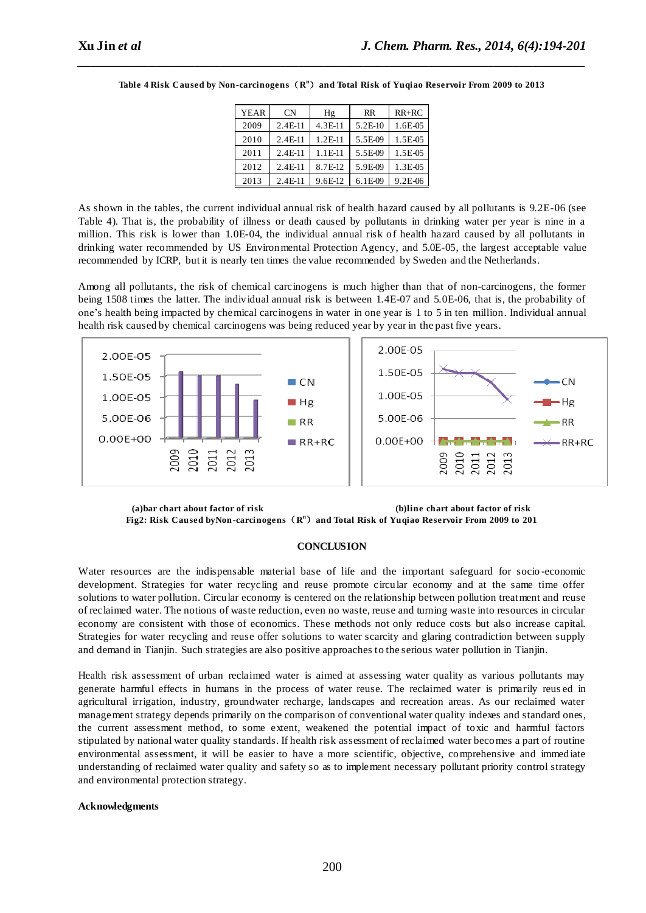| <b>YEAR</b> | <b>CN</b> | Hg        | <b>RR</b> | $RR+RC$   |
|-------------|-----------|-----------|-----------|-----------|
| 2009        | 2.4E-11   | $4.3E-11$ | 5.2E-10   | 1.6E-05   |
| 2010        | 2.4E-11   | 1.2E-11   | 5.5E-09   | 1.5E-05   |
| 2011        | $2.4E-11$ | 1.1E-11   | 5.5E-09   | 1.5E-05   |
| 2012        | 2.4E-11   | 8.7E-12   | 5.9E-09   | 1.3E-05   |
| 2013        | $2.4F-11$ | 9.6E-12   | $6.1E-09$ | $9.2E-06$ |

**Table 4 Risk Caused by Non-carcinogens**(**R <sup>n</sup>**)**and Total Risk of Yuqiao Reservoir From 2009 to 2013**

*\_\_\_\_\_\_\_\_\_\_\_\_\_\_\_\_\_\_\_\_\_\_\_\_\_\_\_\_\_\_\_\_\_\_\_\_\_\_\_\_\_\_\_\_\_\_\_\_\_\_\_\_\_\_\_\_\_\_\_\_\_\_\_\_\_\_\_\_\_\_\_\_\_\_\_\_\_\_*

As shown in the tables, the current individual annual risk of health hazard caused by all pollutants is 9.2E-06 (see Table 4). That is, the probability of illness or death caused by pollutants in drinking water per year is nine in a million. This risk is lower than 1.0E-04, the individual annual risk of health hazard caused by all pollutants in drinking water recommended by [US Environmental Protection](http://www.sciencedirect.com/science/article/pii/016511109090030F) Agency, and 5.0E-05, the largest acceptable value recommended by ICRP, but it is nearly ten times the value recommended by Sweden and the Netherlands.

Among all pollutants, the risk of chemical carcinogens is much higher than that of non-carcinogens, the former being 1508 times the latter. The individual annual risk is between 1.4E-07 and 5.0E-06, that is, the probability of one's health being impacted by chemical carcinogens in water in one year is 1 to 5 in ten million. Individual annual health risk caused by chemical carcinogens was being reduced year by year in the past five years.





## **CONCLUSION**

Water resources are the indispensable material base of life and the important safeguard for socio -economic development. Strategies for water recycling and reuse promote circular economy and at the same time offer solutions to water pollution. Circular economy is centered on the relationship between pollution treatment and reuse of reclaimed water. The notions of waste reduction, even no waste, reuse and turning waste into resources in circular economy are consistent with those of economics. These methods not only reduce costs but also increase capital. Strategies for water recycling and reuse offer solutions to water scarcity and glaring contradiction between supply and demand in Tianjin. Such strategies are also positive approaches to the serious water pollution in Tianjin.

Health risk assessment of urban reclaimed water is aimed at assessing water quality as various pollutants may generate harmful effects in humans in the process of water reuse. The reclaimed water is primarily reus ed in agricultural irrigation, industry, groundwater recharge, landscapes and recreation areas. As our reclaimed water management strategy depends primarily on the comparison of conventional water quality indexes and standard ones, the current assessment method, to some extent, weakened the potential impact of toxic and harmful factors stipulated by national water quality standards. If health risk assessment of reclaimed water becomes a part of routine environmental assessment, it will be easier to have a more scientific, objective, comprehensive and immediate understanding of reclaimed water quality and safety so as to implement necessary pollutant priority control strategy and environmental protection strategy.

#### **Acknowledgments**